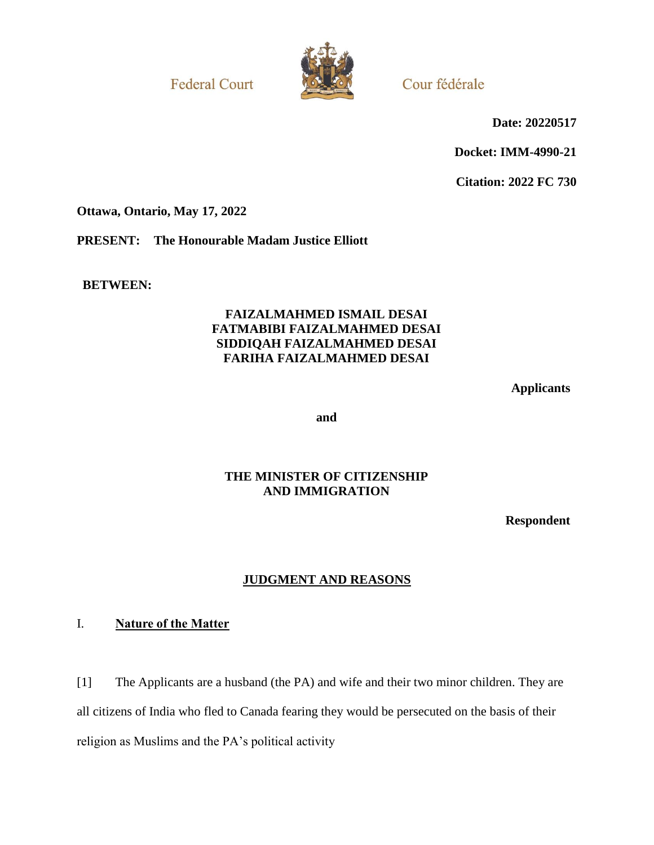**Federal Court** 



Cour fédérale

**Date: 20220517**

**Docket: IMM-4990-21**

**Citation: 2022 FC 730**

**Ottawa, Ontario, May 17, 2022**

**PRESENT: The Honourable Madam Justice Elliott**

**BETWEEN:**

### **FAIZALMAHMED ISMAIL DESAI FATMABIBI FAIZALMAHMED DESAI SIDDIQAH FAIZALMAHMED DESAI FARIHA FAIZALMAHMED DESAI**

**Applicants**

**and**

# **THE MINISTER OF CITIZENSHIP AND IMMIGRATION**

**Respondent**

# **JUDGMENT AND REASONS**

## I. **Nature of the Matter**

[1] The Applicants are a husband (the PA) and wife and their two minor children. They are all citizens of India who fled to Canada fearing they would be persecuted on the basis of their religion as Muslims and the PA's political activity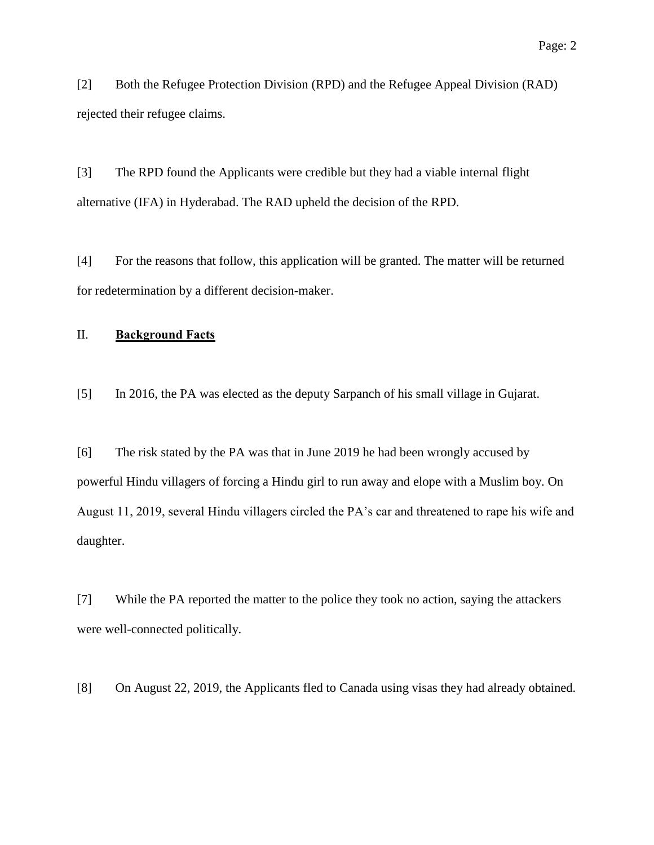[2] Both the Refugee Protection Division (RPD) and the Refugee Appeal Division (RAD) rejected their refugee claims.

[3] The RPD found the Applicants were credible but they had a viable internal flight alternative (IFA) in Hyderabad. The RAD upheld the decision of the RPD.

[4] For the reasons that follow, this application will be granted. The matter will be returned for redetermination by a different decision-maker.

## II. **Background Facts**

[5] In 2016, the PA was elected as the deputy Sarpanch of his small village in Gujarat.

[6] The risk stated by the PA was that in June 2019 he had been wrongly accused by powerful Hindu villagers of forcing a Hindu girl to run away and elope with a Muslim boy. On August 11, 2019, several Hindu villagers circled the PA's car and threatened to rape his wife and daughter.

[7] While the PA reported the matter to the police they took no action, saying the attackers were well-connected politically.

[8] On August 22, 2019, the Applicants fled to Canada using visas they had already obtained.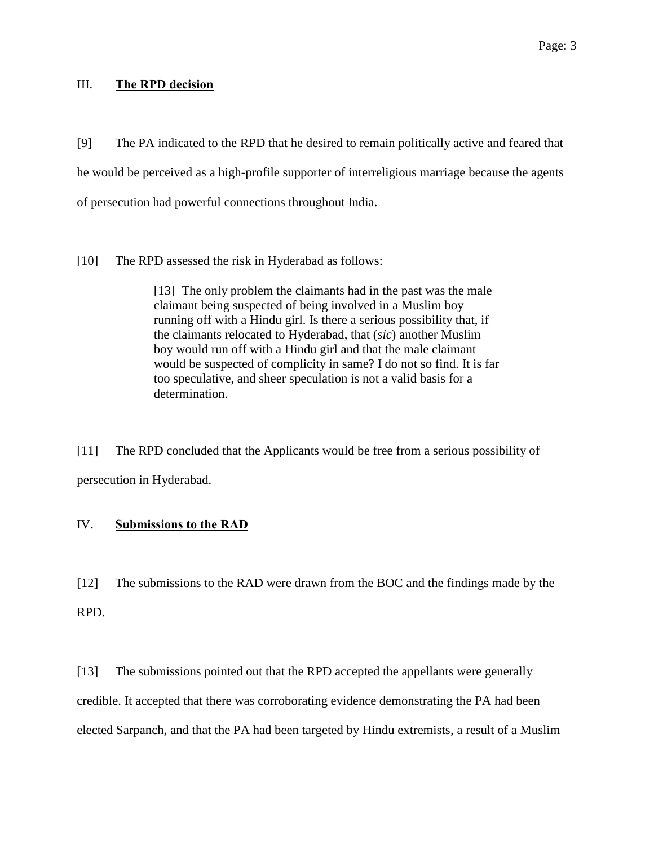#### III. **The RPD decision**

[9] The PA indicated to the RPD that he desired to remain politically active and feared that he would be perceived as a high-profile supporter of interreligious marriage because the agents of persecution had powerful connections throughout India.

[10] The RPD assessed the risk in Hyderabad as follows:

[13] The only problem the claimants had in the past was the male claimant being suspected of being involved in a Muslim boy running off with a Hindu girl. Is there a serious possibility that, if the claimants relocated to Hyderabad, that (*sic*) another Muslim boy would run off with a Hindu girl and that the male claimant would be suspected of complicity in same? I do not so find. It is far too speculative, and sheer speculation is not a valid basis for a determination.

[11] The RPD concluded that the Applicants would be free from a serious possibility of persecution in Hyderabad.

## IV. **Submissions to the RAD**

[12] The submissions to the RAD were drawn from the BOC and the findings made by the RPD.

[13] The submissions pointed out that the RPD accepted the appellants were generally credible. It accepted that there was corroborating evidence demonstrating the PA had been elected Sarpanch, and that the PA had been targeted by Hindu extremists, a result of a Muslim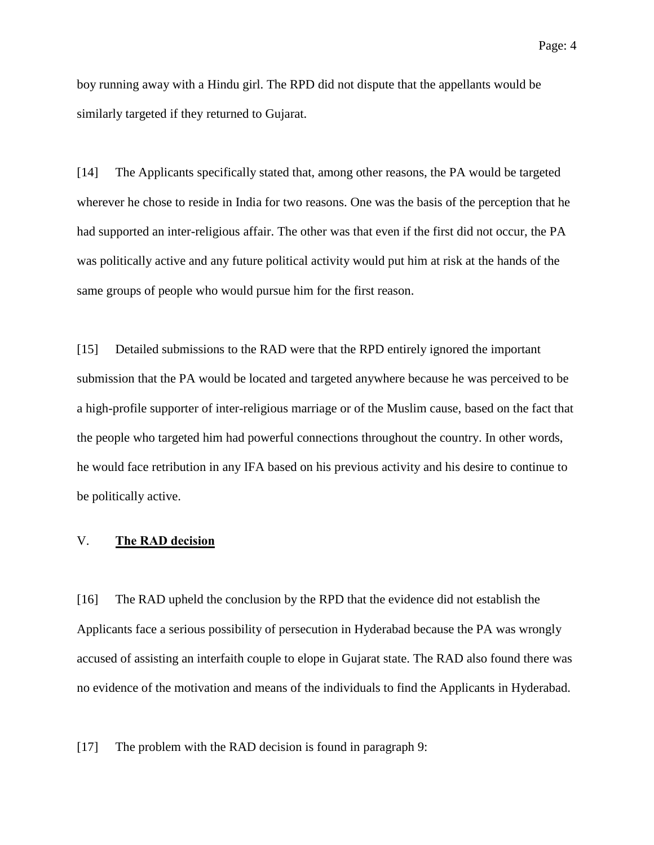boy running away with a Hindu girl. The RPD did not dispute that the appellants would be similarly targeted if they returned to Gujarat.

[14] The Applicants specifically stated that, among other reasons, the PA would be targeted wherever he chose to reside in India for two reasons. One was the basis of the perception that he had supported an inter-religious affair. The other was that even if the first did not occur, the PA was politically active and any future political activity would put him at risk at the hands of the same groups of people who would pursue him for the first reason.

[15] Detailed submissions to the RAD were that the RPD entirely ignored the important submission that the PA would be located and targeted anywhere because he was perceived to be a high-profile supporter of inter-religious marriage or of the Muslim cause, based on the fact that the people who targeted him had powerful connections throughout the country. In other words, he would face retribution in any IFA based on his previous activity and his desire to continue to be politically active.

#### V. **The RAD decision**

[16] The RAD upheld the conclusion by the RPD that the evidence did not establish the Applicants face a serious possibility of persecution in Hyderabad because the PA was wrongly accused of assisting an interfaith couple to elope in Gujarat state. The RAD also found there was no evidence of the motivation and means of the individuals to find the Applicants in Hyderabad.

[17] The problem with the RAD decision is found in paragraph 9: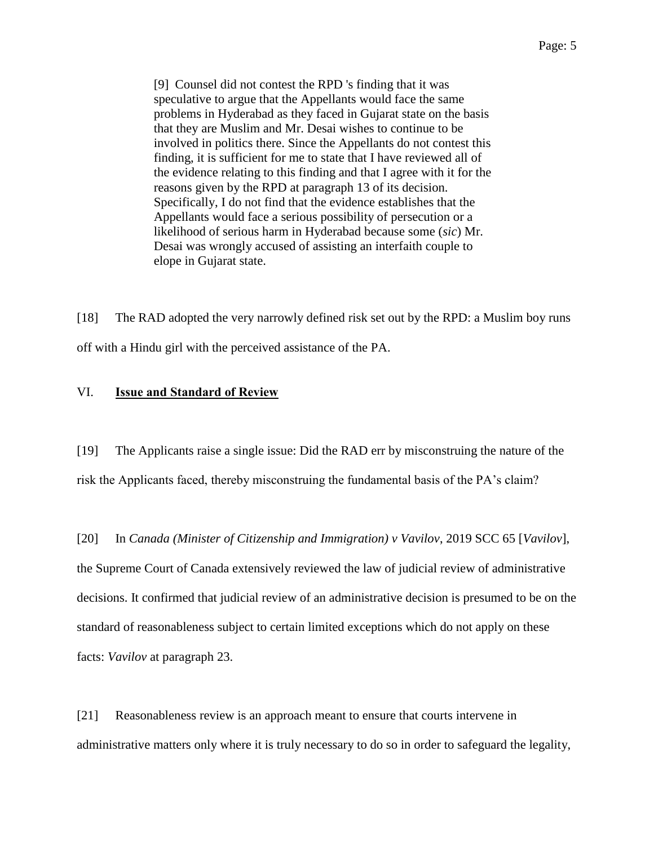[9] Counsel did not contest the RPD 's finding that it was speculative to argue that the Appellants would face the same problems in Hyderabad as they faced in Gujarat state on the basis that they are Muslim and Mr. Desai wishes to continue to be involved in politics there. Since the Appellants do not contest this finding, it is sufficient for me to state that I have reviewed all of the evidence relating to this finding and that I agree with it for the reasons given by the RPD at paragraph 13 of its decision. Specifically, I do not find that the evidence establishes that the Appellants would face a serious possibility of persecution or a likelihood of serious harm in Hyderabad because some (*sic*) Mr. Desai was wrongly accused of assisting an interfaith couple to elope in Gujarat state.

[18] The RAD adopted the very narrowly defined risk set out by the RPD: a Muslim boy runs off with a Hindu girl with the perceived assistance of the PA.

#### VI. **Issue and Standard of Review**

[19] The Applicants raise a single issue: Did the RAD err by misconstruing the nature of the risk the Applicants faced, thereby misconstruing the fundamental basis of the PA's claim?

[20] In *Canada (Minister of Citizenship and Immigration) v Vavilov*, 2019 SCC 65 [*Vavilov*], the Supreme Court of Canada extensively reviewed the law of judicial review of administrative decisions. It confirmed that judicial review of an administrative decision is presumed to be on the standard of reasonableness subject to certain limited exceptions which do not apply on these facts: *Vavilov* at paragraph 23.

[21] Reasonableness review is an approach meant to ensure that courts intervene in administrative matters only where it is truly necessary to do so in order to safeguard the legality,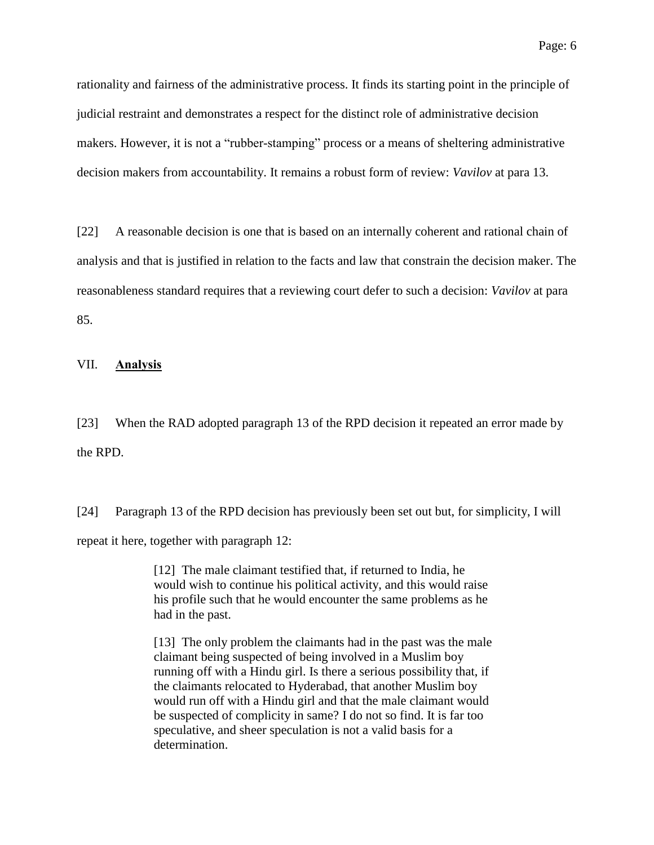rationality and fairness of the administrative process. It finds its starting point in the principle of judicial restraint and demonstrates a respect for the distinct role of administrative decision makers. However, it is not a "rubber-stamping" process or a means of sheltering administrative decision makers from accountability. It remains a robust form of review: *Vavilov* at para 13.

[22] A reasonable decision is one that is based on an internally coherent and rational chain of analysis and that is justified in relation to the facts and law that constrain the decision maker. The reasonableness standard requires that a reviewing court defer to such a decision: *Vavilov* at para 85.

#### VII. **Analysis**

[23] When the RAD adopted paragraph 13 of the RPD decision it repeated an error made by the RPD.

[24] Paragraph 13 of the RPD decision has previously been set out but, for simplicity, I will repeat it here, together with paragraph 12:

> [12] The male claimant testified that, if returned to India, he would wish to continue his political activity, and this would raise his profile such that he would encounter the same problems as he had in the past.

[13] The only problem the claimants had in the past was the male claimant being suspected of being involved in a Muslim boy running off with a Hindu girl. Is there a serious possibility that, if the claimants relocated to Hyderabad, that another Muslim boy would run off with a Hindu girl and that the male claimant would be suspected of complicity in same? I do not so find. It is far too speculative, and sheer speculation is not a valid basis for a determination.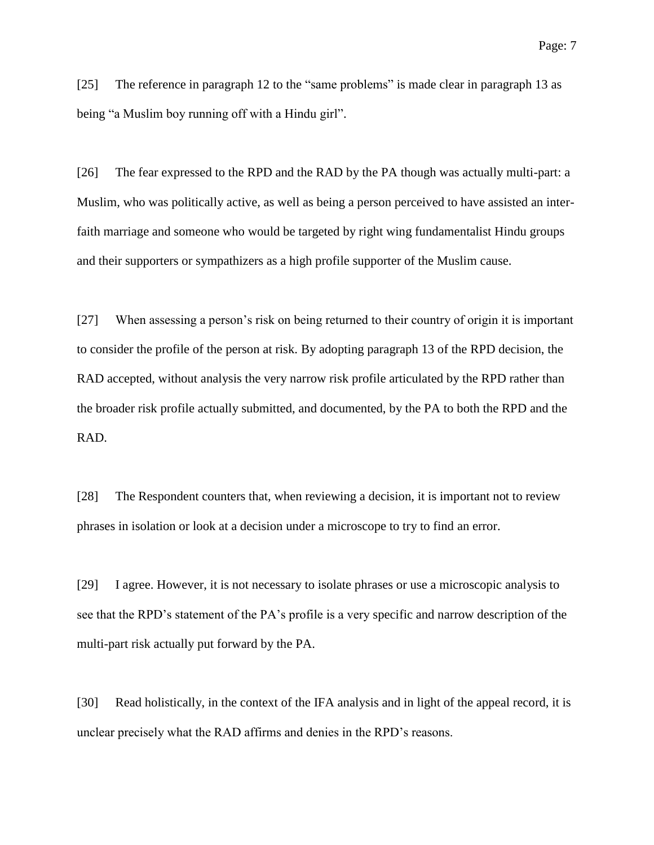[25] The reference in paragraph 12 to the "same problems" is made clear in paragraph 13 as being "a Muslim boy running off with a Hindu girl".

[26] The fear expressed to the RPD and the RAD by the PA though was actually multi-part: a Muslim, who was politically active, as well as being a person perceived to have assisted an interfaith marriage and someone who would be targeted by right wing fundamentalist Hindu groups and their supporters or sympathizers as a high profile supporter of the Muslim cause.

[27] When assessing a person's risk on being returned to their country of origin it is important to consider the profile of the person at risk. By adopting paragraph 13 of the RPD decision, the RAD accepted, without analysis the very narrow risk profile articulated by the RPD rather than the broader risk profile actually submitted, and documented, by the PA to both the RPD and the RAD.

[28] The Respondent counters that, when reviewing a decision, it is important not to review phrases in isolation or look at a decision under a microscope to try to find an error.

[29] I agree. However, it is not necessary to isolate phrases or use a microscopic analysis to see that the RPD's statement of the PA's profile is a very specific and narrow description of the multi-part risk actually put forward by the PA.

[30] Read holistically, in the context of the IFA analysis and in light of the appeal record, it is unclear precisely what the RAD affirms and denies in the RPD's reasons.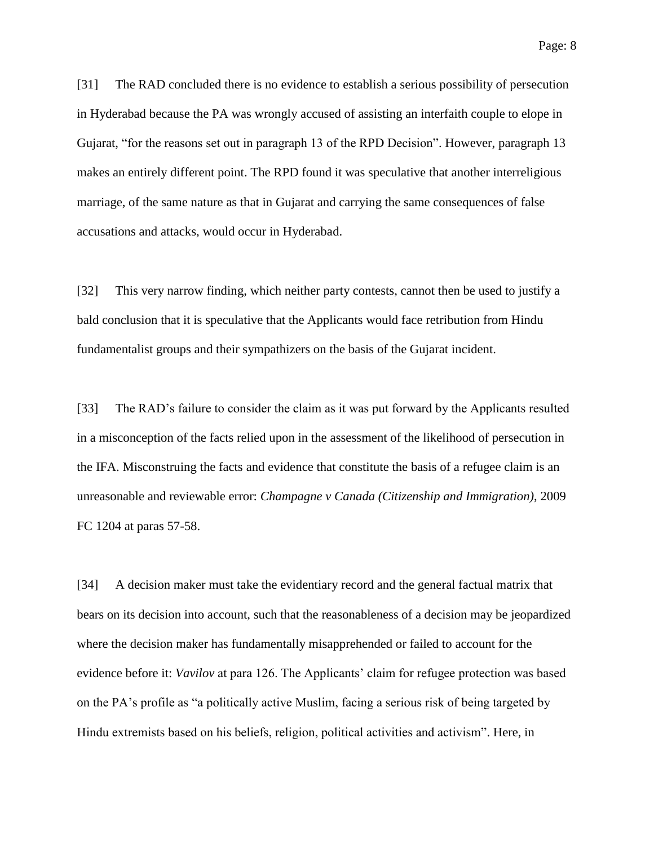[31] The RAD concluded there is no evidence to establish a serious possibility of persecution in Hyderabad because the PA was wrongly accused of assisting an interfaith couple to elope in Gujarat, "for the reasons set out in paragraph 13 of the RPD Decision". However, paragraph 13 makes an entirely different point. The RPD found it was speculative that another interreligious marriage, of the same nature as that in Gujarat and carrying the same consequences of false accusations and attacks, would occur in Hyderabad.

[32] This very narrow finding, which neither party contests, cannot then be used to justify a bald conclusion that it is speculative that the Applicants would face retribution from Hindu fundamentalist groups and their sympathizers on the basis of the Gujarat incident.

[33] The RAD's failure to consider the claim as it was put forward by the Applicants resulted in a misconception of the facts relied upon in the assessment of the likelihood of persecution in the IFA. Misconstruing the facts and evidence that constitute the basis of a refugee claim is an unreasonable and reviewable error: *Champagne v Canada (Citizenship and Immigration)*, 2009 FC 1204 at paras 57-58.

[34] A decision maker must take the evidentiary record and the general factual matrix that bears on its decision into account, such that the reasonableness of a decision may be jeopardized where the decision maker has fundamentally misapprehended or failed to account for the evidence before it: *Vavilov* at para 126. The Applicants' claim for refugee protection was based on the PA's profile as "a politically active Muslim, facing a serious risk of being targeted by Hindu extremists based on his beliefs, religion, political activities and activism". Here, in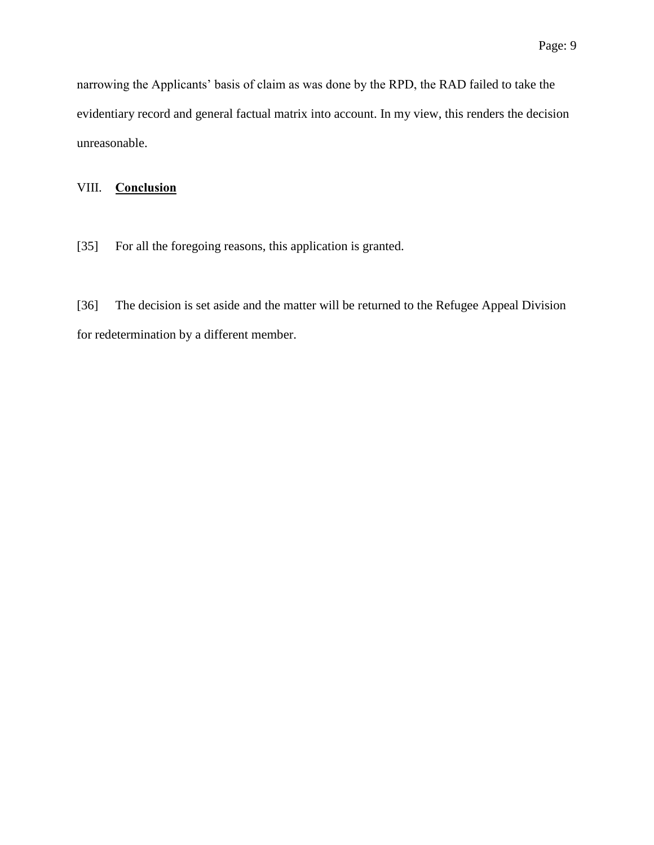narrowing the Applicants' basis of claim as was done by the RPD, the RAD failed to take the evidentiary record and general factual matrix into account. In my view, this renders the decision unreasonable.

### VIII. **Conclusion**

[35] For all the foregoing reasons, this application is granted.

[36] The decision is set aside and the matter will be returned to the Refugee Appeal Division for redetermination by a different member.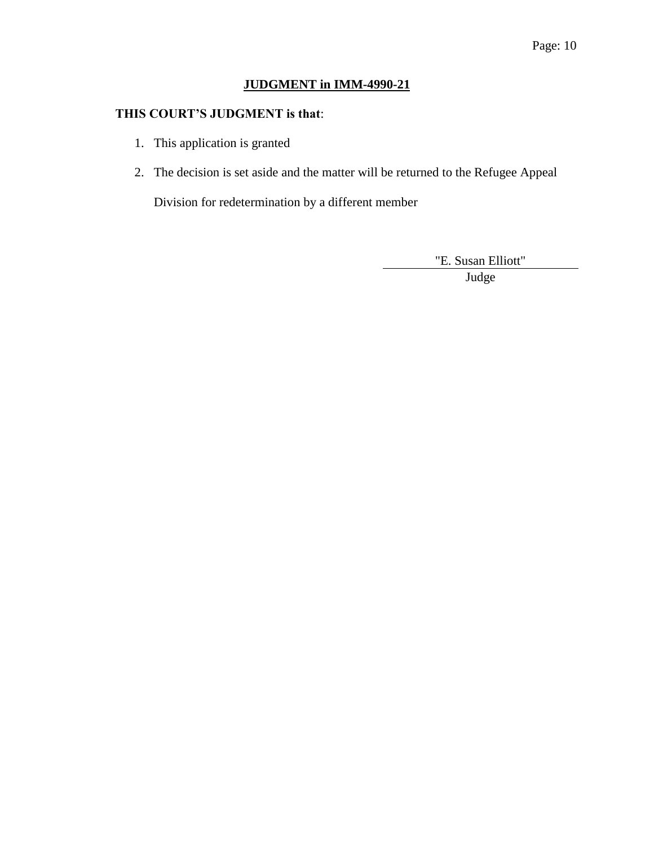# **JUDGMENT in IMM-4990-21**

## **THIS COURT'S JUDGMENT is that**:

- 1. This application is granted
- 2. The decision is set aside and the matter will be returned to the Refugee Appeal

Division for redetermination by a different member

"E. Susan Elliott"

Judge